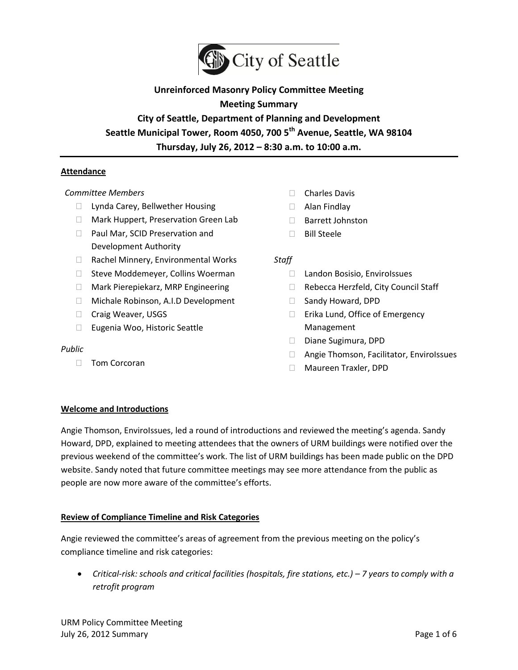

# **Unreinforced Masonry Policy Committee Meeting**

# **Meeting Summary**

**City of Seattle, Department of Planning and Development Seattle Municipal Tower, Room 4050, 700 5th Avenue, Seattle, WA 98104 Thursday, July 26, 2012 – 8:30 a.m. to 10:00 a.m.**

## **Attendance**

#### *Committee Members*

- □ Lynda Carey, Bellwether Housing
- □ Mark Huppert, Preservation Green Lab
- □ Paul Mar, SCID Preservation and Development Authority
- □ Rachel Minnery, Environmental Works
- $\Box$  Steve Moddemeyer, Collins Woerman
- □ Mark Pierepiekarz, MRP Engineering
- □ Michale Robinson, A.I.D Development
- □ Craig Weaver, USGS
- □ Eugenia Woo, Historic Seattle

#### *Public*

Tom Corcoran

- □ Charles Davis
- Alan Findlay
- □ Barrett Johnston
- $\Box$  Bill Steele

#### *Staff*

- □ Landon Bosisio, EnviroIssues
- □ Rebecca Herzfeld, City Council Staff
- □ Sandy Howard, DPD
- □ Erika Lund, Office of Emergency Management
- Diane Sugimura, DPD
- □ Angie Thomson, Facilitator, EnviroIssues
- Maureen Traxler, DPD

#### **Welcome and Introductions**

Angie Thomson, EnviroIssues, led a round of introductions and reviewed the meeting's agenda. Sandy Howard, DPD, explained to meeting attendees that the owners of URM buildings were notified over the previous weekend of the committee's work. The list of URM buildings has been made public on the DPD website. Sandy noted that future committee meetings may see more attendance from the public as people are now more aware of the committee's efforts.

#### **Review of Compliance Timeline and Risk Categories**

Angie reviewed the committee's areas of agreement from the previous meeting on the policy's compliance timeline and risk categories:

**•** Critical-risk: schools and critical facilities (hospitals, fire stations, etc.) – 7 years to comply with a *retrofit program*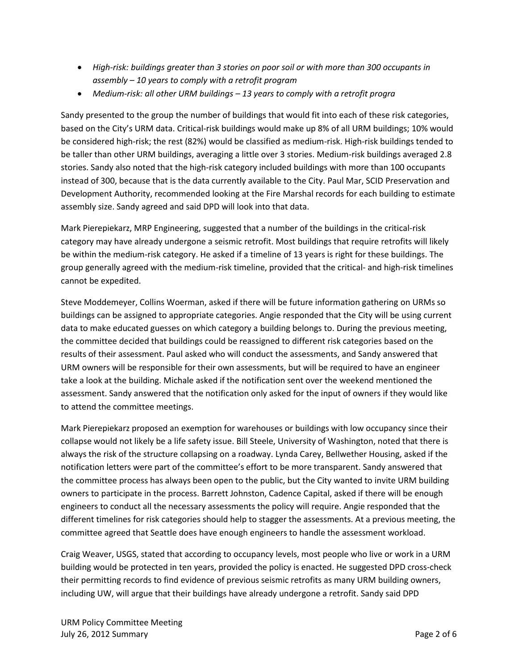- *High-risk: buildings greater than 3 stories on poor soil or with more than 300 occupants in assembly – 10 years to comply with a retrofit program*
- *Medium-risk: all other URM buildings – 13 years to comply with a retrofit progra*

Sandy presented to the group the number of buildings that would fit into each of these risk categories, based on the City's URM data. Critical-risk buildings would make up 8% of all URM buildings; 10% would be considered high-risk; the rest (82%) would be classified as medium-risk. High-risk buildings tended to be taller than other URM buildings, averaging a little over 3 stories. Medium-risk buildings averaged 2.8 stories. Sandy also noted that the high-risk category included buildings with more than 100 occupants instead of 300, because that is the data currently available to the City. Paul Mar, SCID Preservation and Development Authority, recommended looking at the Fire Marshal records for each building to estimate assembly size. Sandy agreed and said DPD will look into that data.

Mark Pierepiekarz, MRP Engineering, suggested that a number of the buildings in the critical-risk category may have already undergone a seismic retrofit. Most buildings that require retrofits will likely be within the medium-risk category. He asked if a timeline of 13 years is right for these buildings. The group generally agreed with the medium-risk timeline, provided that the critical- and high-risk timelines cannot be expedited.

Steve Moddemeyer, Collins Woerman, asked if there will be future information gathering on URMs so buildings can be assigned to appropriate categories. Angie responded that the City will be using current data to make educated guesses on which category a building belongs to. During the previous meeting, the committee decided that buildings could be reassigned to different risk categories based on the results of their assessment. Paul asked who will conduct the assessments, and Sandy answered that URM owners will be responsible for their own assessments, but will be required to have an engineer take a look at the building. Michale asked if the notification sent over the weekend mentioned the assessment. Sandy answered that the notification only asked for the input of owners if they would like to attend the committee meetings.

Mark Pierepiekarz proposed an exemption for warehouses or buildings with low occupancy since their collapse would not likely be a life safety issue. Bill Steele, University of Washington, noted that there is always the risk of the structure collapsing on a roadway. Lynda Carey, Bellwether Housing, asked if the notification letters were part of the committee's effort to be more transparent. Sandy answered that the committee process has always been open to the public, but the City wanted to invite URM building owners to participate in the process. Barrett Johnston, Cadence Capital, asked if there will be enough engineers to conduct all the necessary assessments the policy will require. Angie responded that the different timelines for risk categories should help to stagger the assessments. At a previous meeting, the committee agreed that Seattle does have enough engineers to handle the assessment workload.

Craig Weaver, USGS, stated that according to occupancy levels, most people who live or work in a URM building would be protected in ten years, provided the policy is enacted. He suggested DPD cross-check their permitting records to find evidence of previous seismic retrofits as many URM building owners, including UW, will argue that their buildings have already undergone a retrofit. Sandy said DPD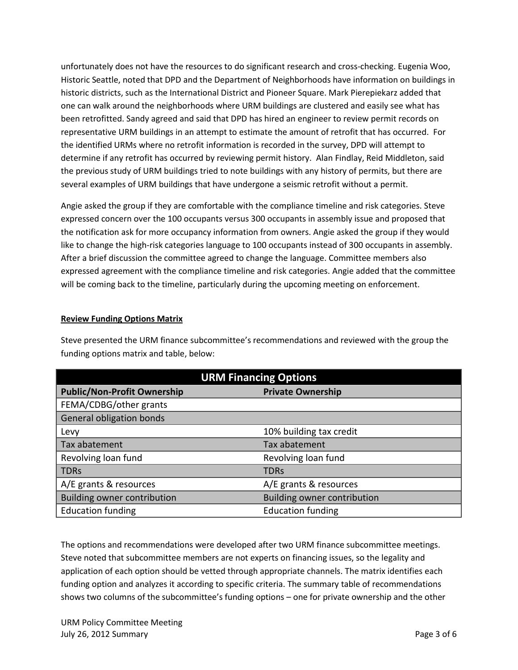unfortunately does not have the resources to do significant research and cross-checking. Eugenia Woo, Historic Seattle, noted that DPD and the Department of Neighborhoods have information on buildings in historic districts, such as the International District and Pioneer Square. Mark Pierepiekarz added that one can walk around the neighborhoods where URM buildings are clustered and easily see what has been retrofitted. Sandy agreed and said that DPD has hired an engineer to review permit records on representative URM buildings in an attempt to estimate the amount of retrofit that has occurred. For the identified URMs where no retrofit information is recorded in the survey, DPD will attempt to determine if any retrofit has occurred by reviewing permit history. Alan Findlay, Reid Middleton, said the previous study of URM buildings tried to note buildings with any history of permits, but there are several examples of URM buildings that have undergone a seismic retrofit without a permit.

Angie asked the group if they are comfortable with the compliance timeline and risk categories. Steve expressed concern over the 100 occupants versus 300 occupants in assembly issue and proposed that the notification ask for more occupancy information from owners. Angie asked the group if they would like to change the high-risk categories language to 100 occupants instead of 300 occupants in assembly. After a brief discussion the committee agreed to change the language. Committee members also expressed agreement with the compliance timeline and risk categories. Angie added that the committee will be coming back to the timeline, particularly during the upcoming meeting on enforcement.

## **Review Funding Options Matrix**

Steve presented the URM finance subcommittee's recommendations and reviewed with the group the funding options matrix and table, below:

| <b>URM Financing Options</b>       |                             |
|------------------------------------|-----------------------------|
| <b>Public/Non-Profit Ownership</b> | <b>Private Ownership</b>    |
| FEMA/CDBG/other grants             |                             |
| <b>General obligation bonds</b>    |                             |
| Levy                               | 10% building tax credit     |
| Tax abatement                      | Tax abatement               |
| Revolving loan fund                | Revolving loan fund         |
| <b>TDRs</b>                        | <b>TDRs</b>                 |
| A/E grants & resources             | A/E grants & resources      |
| <b>Building owner contribution</b> | Building owner contribution |
| <b>Education funding</b>           | <b>Education funding</b>    |

The options and recommendations were developed after two URM finance subcommittee meetings. Steve noted that subcommittee members are not experts on financing issues, so the legality and application of each option should be vetted through appropriate channels. The matrix identifies each funding option and analyzes it according to specific criteria. The summary table of recommendations shows two columns of the subcommittee's funding options – one for private ownership and the other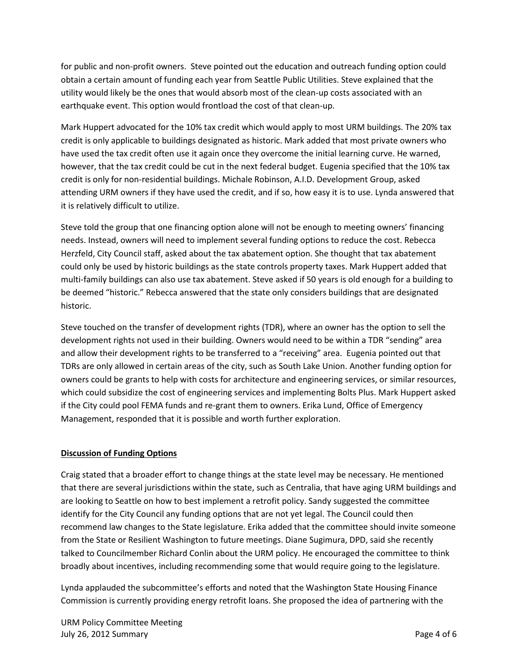for public and non-profit owners. Steve pointed out the education and outreach funding option could obtain a certain amount of funding each year from Seattle Public Utilities. Steve explained that the utility would likely be the ones that would absorb most of the clean-up costs associated with an earthquake event. This option would frontload the cost of that clean-up.

Mark Huppert advocated for the 10% tax credit which would apply to most URM buildings. The 20% tax credit is only applicable to buildings designated as historic. Mark added that most private owners who have used the tax credit often use it again once they overcome the initial learning curve. He warned, however, that the tax credit could be cut in the next federal budget. Eugenia specified that the 10% tax credit is only for non-residential buildings. Michale Robinson, A.I.D. Development Group, asked attending URM owners if they have used the credit, and if so, how easy it is to use. Lynda answered that it is relatively difficult to utilize.

Steve told the group that one financing option alone will not be enough to meeting owners' financing needs. Instead, owners will need to implement several funding options to reduce the cost. Rebecca Herzfeld, City Council staff, asked about the tax abatement option. She thought that tax abatement could only be used by historic buildings as the state controls property taxes. Mark Huppert added that multi-family buildings can also use tax abatement. Steve asked if 50 years is old enough for a building to be deemed "historic." Rebecca answered that the state only considers buildings that are designated historic.

Steve touched on the transfer of development rights (TDR), where an owner has the option to sell the development rights not used in their building. Owners would need to be within a TDR "sending" area and allow their development rights to be transferred to a "receiving" area. Eugenia pointed out that TDRs are only allowed in certain areas of the city, such as South Lake Union. Another funding option for owners could be grants to help with costs for architecture and engineering services, or similar resources, which could subsidize the cost of engineering services and implementing Bolts Plus. Mark Huppert asked if the City could pool FEMA funds and re-grant them to owners. Erika Lund, Office of Emergency Management, responded that it is possible and worth further exploration.

#### **Discussion of Funding Options**

Craig stated that a broader effort to change things at the state level may be necessary. He mentioned that there are several jurisdictions within the state, such as Centralia, that have aging URM buildings and are looking to Seattle on how to best implement a retrofit policy. Sandy suggested the committee identify for the City Council any funding options that are not yet legal. The Council could then recommend law changes to the State legislature. Erika added that the committee should invite someone from the State or Resilient Washington to future meetings. Diane Sugimura, DPD, said she recently talked to Councilmember Richard Conlin about the URM policy. He encouraged the committee to think broadly about incentives, including recommending some that would require going to the legislature.

Lynda applauded the subcommittee's efforts and noted that the Washington State Housing Finance Commission is currently providing energy retrofit loans. She proposed the idea of partnering with the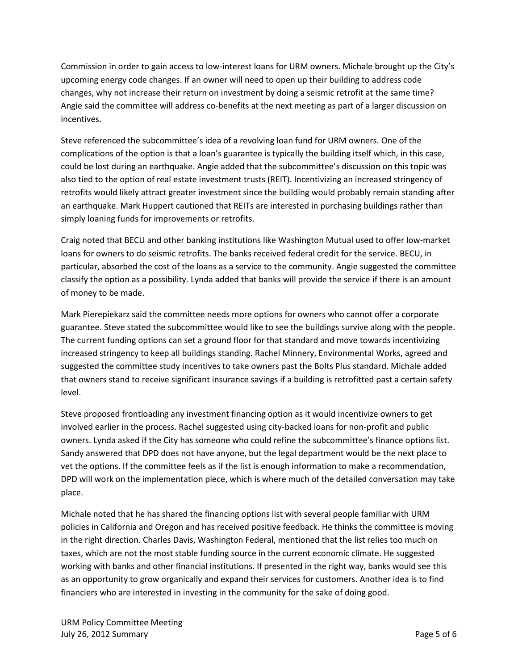Commission in order to gain access to low-interest loans for URM owners. Michale brought up the City's upcoming energy code changes. If an owner will need to open up their building to address code changes, why not increase their return on investment by doing a seismic retrofit at the same time? Angie said the committee will address co-benefits at the next meeting as part of a larger discussion on incentives.

Steve referenced the subcommittee's idea of a revolving loan fund for URM owners. One of the complications of the option is that a loan's guarantee is typically the building itself which, in this case, could be lost during an earthquake. Angie added that the subcommittee's discussion on this topic was also tied to the option of real estate investment trusts (REIT). Incentivizing an increased stringency of retrofits would likely attract greater investment since the building would probably remain standing after an earthquake. Mark Huppert cautioned that REITs are interested in purchasing buildings rather than simply loaning funds for improvements or retrofits.

Craig noted that BECU and other banking institutions like Washington Mutual used to offer low-market loans for owners to do seismic retrofits. The banks received federal credit for the service. BECU, in particular, absorbed the cost of the loans as a service to the community. Angie suggested the committee classify the option as a possibility. Lynda added that banks will provide the service if there is an amount of money to be made.

Mark Pierepiekarz said the committee needs more options for owners who cannot offer a corporate guarantee. Steve stated the subcommittee would like to see the buildings survive along with the people. The current funding options can set a ground floor for that standard and move towards incentivizing increased stringency to keep all buildings standing. Rachel Minnery, Environmental Works, agreed and suggested the committee study incentives to take owners past the Bolts Plus standard. Michale added that owners stand to receive significant insurance savings if a building is retrofitted past a certain safety level.

Steve proposed frontloading any investment financing option as it would incentivize owners to get involved earlier in the process. Rachel suggested using city-backed loans for non-profit and public owners. Lynda asked if the City has someone who could refine the subcommittee's finance options list. Sandy answered that DPD does not have anyone, but the legal department would be the next place to vet the options. If the committee feels as if the list is enough information to make a recommendation, DPD will work on the implementation piece, which is where much of the detailed conversation may take place.

Michale noted that he has shared the financing options list with several people familiar with URM policies in California and Oregon and has received positive feedback. He thinks the committee is moving in the right direction. Charles Davis, Washington Federal, mentioned that the list relies too much on taxes, which are not the most stable funding source in the current economic climate. He suggested working with banks and other financial institutions. If presented in the right way, banks would see this as an opportunity to grow organically and expand their services for customers. Another idea is to find financiers who are interested in investing in the community for the sake of doing good.